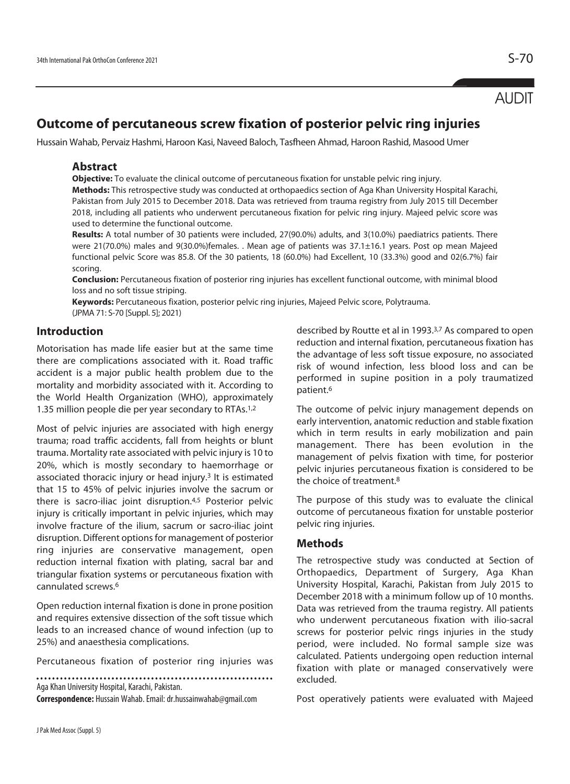AUDIT

# **Outcome of percutaneous screw fixation of posterior pelvic ring injuries**

Hussain Wahab, Pervaiz Hashmi, Haroon Kasi, Naveed Baloch, Tasfheen Ahmad, Haroon Rashid, Masood Umer

#### **Abstract**

**Objective:** To evaluate the clinical outcome of percutaneous fixation for unstable pelvic ring injury.

**Methods:** This retrospective study was conducted at orthopaedics section of Aga Khan University Hospital Karachi, Pakistan from July 2015 to December 2018. Data was retrieved from trauma registry from July 2015 till December 2018, including all patients who underwent percutaneous fixation for pelvic ring injury. Majeed pelvic score was used to determine the functional outcome.

**Results:** A total number of 30 patients were included, 27(90.0%) adults, and 3(10.0%) paediatrics patients. There were 21(70.0%) males and 9(30.0%)females. . Mean age of patients was 37.1±16.1 years. Post op mean Majeed functional pelvic Score was 85.8. Of the 30 patients, 18 (60.0%) had Excellent, 10 (33.3%) good and 02(6.7%) fair scoring.

**Conclusion:** Percutaneous fixation of posterior ring injuries has excellent functional outcome, with minimal blood loss and no soft tissue striping.

**Keywords:** Percutaneous fixation, posterior pelvic ring injuries, Majeed Pelvic score, Polytrauma. (JPMA 71: S-70 [Suppl. 5]; 2021)

#### **Introduction**

Motorisation has made life easier but at the same time there are complications associated with it. Road traffic accident is a major public health problem due to the mortality and morbidity associated with it. According to the World Health Organization (WHO), approximately 1.35 million people die per year secondary to RTAs.<sup>1,2</sup>

Most of pelvic injuries are associated with high energy trauma; road traffic accidents, fall from heights or blunt trauma. Mortality rate associated with pelvic injury is 10 to 20%, which is mostly secondary to haemorrhage or associated thoracic injury or head injury.3 It is estimated that 15 to 45% of pelvic injuries involve the sacrum or there is sacro-iliac joint disruption.4,5 Posterior pelvic injury is critically important in pelvic injuries, which may involve fracture of the ilium, sacrum or sacro-iliac joint disruption. Different options for management of posterior ring injuries are conservative management, open reduction internal fixation with plating, sacral bar and triangular fixation systems or percutaneous fixation with cannulated screws.6

Open reduction internal fixation is done in prone position and requires extensive dissection of the soft tissue which leads to an increased chance of wound infection (up to 25%) and anaesthesia complications.

Percutaneous fixation of posterior ring injuries was

Aga Khan University Hospital, Karachi, Pakistan.

**Correspondence:** Hussain Wahab. Email: dr.hussainwahab@gmail.com

described by Routte et al in 1993.3,7 As compared to open reduction and internal fixation, percutaneous fixation has the advantage of less soft tissue exposure, no associated risk of wound infection, less blood loss and can be performed in supine position in a poly traumatized patient.6

The outcome of pelvic injury management depends on early intervention, anatomic reduction and stable fixation which in term results in early mobilization and pain management. There has been evolution in the management of pelvis fixation with time, for posterior pelvic injuries percutaneous fixation is considered to be the choice of treatment.8

The purpose of this study was to evaluate the clinical outcome of percutaneous fixation for unstable posterior pelvic ring injuries.

#### **Methods**

The retrospective study was conducted at Section of Orthopaedics, Department of Surgery, Aga Khan University Hospital, Karachi, Pakistan from July 2015 to December 2018 with a minimum follow up of 10 months. Data was retrieved from the trauma registry. All patients who underwent percutaneous fixation with ilio-sacral screws for posterior pelvic rings injuries in the study period, were included. No formal sample size was calculated. Patients undergoing open reduction internal fixation with plate or managed conservatively were excluded.

Post operatively patients were evaluated with Majeed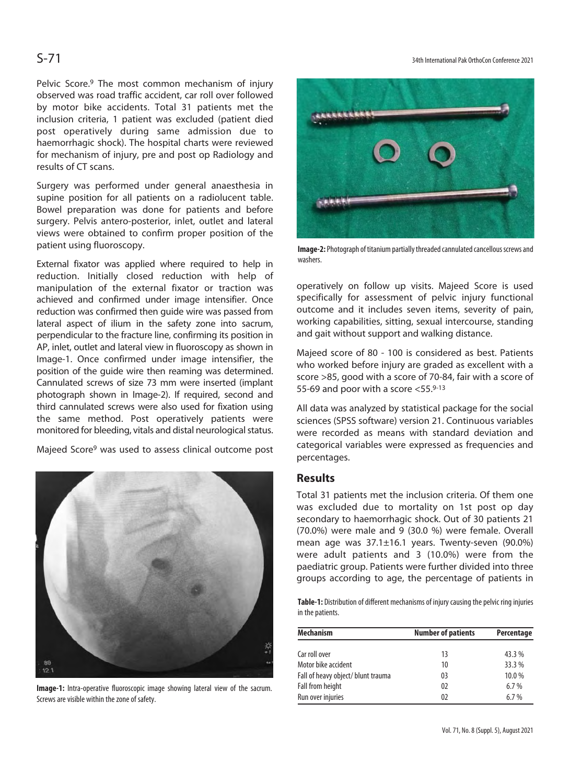Pelvic Score.9 The most common mechanism of injury observed was road traffic accident, car roll over followed by motor bike accidents. Total 31 patients met the inclusion criteria, 1 patient was excluded (patient died post operatively during same admission due to haemorrhagic shock). The hospital charts were reviewed for mechanism of injury, pre and post op Radiology and results of CT scans.

Surgery was performed under general anaesthesia in supine position for all patients on a radiolucent table. Bowel preparation was done for patients and before surgery. Pelvis antero-posterior, inlet, outlet and lateral views were obtained to confirm proper position of the patient using fluoroscopy.

External fixator was applied where required to help in reduction. Initially closed reduction with help of manipulation of the external fixator or traction was achieved and confirmed under image intensifier. Once reduction was confirmed then guide wire was passed from lateral aspect of ilium in the safety zone into sacrum, perpendicular to the fracture line, confirming its position in AP, inlet, outlet and lateral view in fluoroscopy as shown in Image-1. Once confirmed under image intensifier, the position of the guide wire then reaming was determined. Cannulated screws of size 73 mm were inserted (implant photograph shown in Image-2). If required, second and third cannulated screws were also used for fixation using the same method. Post operatively patients were monitored for bleeding, vitals and distal neurological status.

Majeed Score9 was used to assess clinical outcome post



**Image-1:** Intra-operative fluoroscopic image showing lateral view of the sacrum. Screws are visible within the zone of safety.

# S-71 34th International Pak OrthoCon Conference 2021



**Image-2:** Photograph of titanium partially threaded cannulated cancellous screws and washers.

operatively on follow up visits. Majeed Score is used specifically for assessment of pelvic injury functional outcome and it includes seven items, severity of pain, working capabilities, sitting, sexual intercourse, standing and gait without support and walking distance.

Majeed score of 80 - 100 is considered as best. Patients who worked before injury are graded as excellent with a score >85, good with a score of 70-84, fair with a score of 55-69 and poor with a score <55.9-13

All data was analyzed by statistical package for the social sciences (SPSS software) version 21. Continuous variables were recorded as means with standard deviation and categorical variables were expressed as frequencies and percentages.

#### **Results**

Total 31 patients met the inclusion criteria. Of them one was excluded due to mortality on 1st post op day secondary to haemorrhagic shock. Out of 30 patients 21 (70.0%) were male and 9 (30.0 %) were female. Overall mean age was 37.1±16.1 years. Twenty-seven (90.0%) were adult patients and 3 (10.0%) were from the paediatric group. Patients were further divided into three groups according to age, the percentage of patients in

**Table-1:** Distribution of different mechanisms of injury causing the pelvic ring injuries in the patients.

| <b>Mechanism</b>                   | <b>Number of patients</b> | Percentage |
|------------------------------------|---------------------------|------------|
| Car roll over                      | 13                        | 43.3%      |
| Motor bike accident                | 10                        | 33.3 %     |
| Fall of heavy object/ blunt trauma | 03                        | 10.0%      |
| Fall from height                   | 02                        | 6.7%       |
| Run over injuries                  | 02                        | 6.7%       |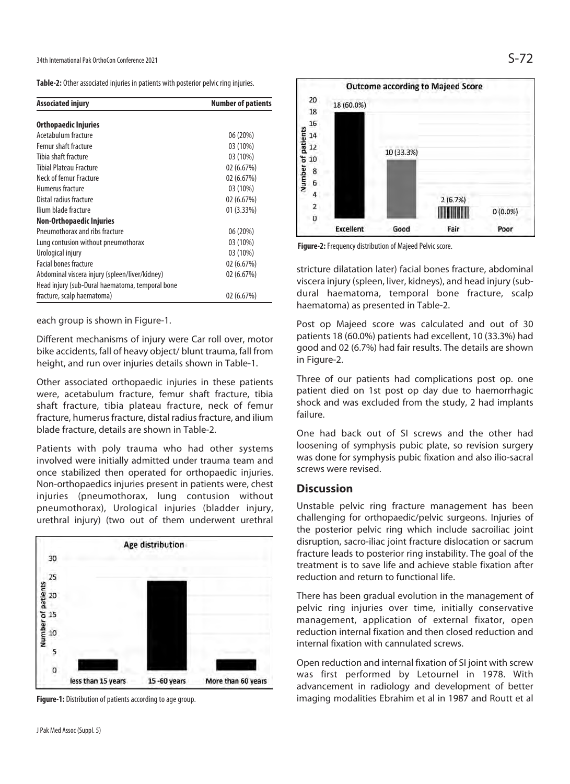**Table-2:** Other associated injuries in patients with posterior pelvic ring injuries.

| <b>Associated injury</b>                        | <b>Number of patients</b> |
|-------------------------------------------------|---------------------------|
| Orthopaedic Injuries                            |                           |
| Acetabulum fracture                             | 06 (20%)                  |
| Femur shaft fracture                            | 03 (10%)                  |
| Tibia shaft fracture                            | 03 (10%)                  |
| <b>Tibial Plateau Fracture</b>                  | 02(6.67%)                 |
| Neck of femur Fracture                          | 02(6.67%)                 |
| Humerus fracture                                | 03 (10%)                  |
| Distal radius fracture                          | 02(6.67%)                 |
| Ilium blade fracture                            | 01(3.33%)                 |
| Non-Orthopaedic Injuries                        |                           |
| Pneumothorax and ribs fracture                  | 06 (20%)                  |
| Lung contusion without pneumothorax             | 03 (10%)                  |
| Urological injury                               | 03 (10%)                  |
| <b>Facial bones fracture</b>                    | 02 (6.67%)                |
| Abdominal viscera injury (spleen/liver/kidney)  | 02 (6.67%)                |
| Head injury (sub-Dural haematoma, temporal bone |                           |
| fracture, scalp haematoma)                      | 02 (6.67%)                |

each group is shown in Figure-1.

Different mechanisms of injury were Car roll over, motor bike accidents, fall of heavy object/ blunt trauma, fall from height, and run over injuries details shown in Table-1.

Other associated orthopaedic injuries in these patients were, acetabulum fracture, femur shaft fracture, tibia shaft fracture, tibia plateau fracture, neck of femur fracture, humerus fracture, distal radius fracture, and ilium blade fracture, details are shown in Table-2.

Patients with poly trauma who had other systems involved were initially admitted under trauma team and once stabilized then operated for orthopaedic injuries. Non-orthopaedics injuries present in patients were, chest injuries (pneumothorax, lung contusion without pneumothorax), Urological injuries (bladder injury, urethral injury) (two out of them underwent urethral



**Figure-1:** Distribution of patients according to age group.



**Figure-2:** Frequency distribution of Majeed Pelvic score.

stricture dilatation later) facial bones fracture, abdominal viscera injury (spleen, liver, kidneys), and head injury (subdural haematoma, temporal bone fracture, scalp haematoma) as presented in Table-2.

Post op Majeed score was calculated and out of 30 patients 18 (60.0%) patients had excellent, 10 (33.3%) had good and 02 (6.7%) had fair results. The details are shown in Figure-2.

Three of our patients had complications post op. one patient died on 1st post op day due to haemorrhagic shock and was excluded from the study, 2 had implants failure.

One had back out of SI screws and the other had loosening of symphysis pubic plate, so revision surgery was done for symphysis pubic fixation and also ilio-sacral screws were revised.

#### **Discussion**

Unstable pelvic ring fracture management has been challenging for orthopaedic/pelvic surgeons. Injuries of the posterior pelvic ring which include sacroiliac joint disruption, sacro-iliac joint fracture dislocation or sacrum fracture leads to posterior ring instability. The goal of the treatment is to save life and achieve stable fixation after reduction and return to functional life.

There has been gradual evolution in the management of pelvic ring injuries over time, initially conservative management, application of external fixator, open reduction internal fixation and then closed reduction and internal fixation with cannulated screws.

Open reduction and internal fixation of SI joint with screw was first performed by Letournel in 1978. With advancement in radiology and development of better imaging modalities Ebrahim et al in 1987 and Routt et al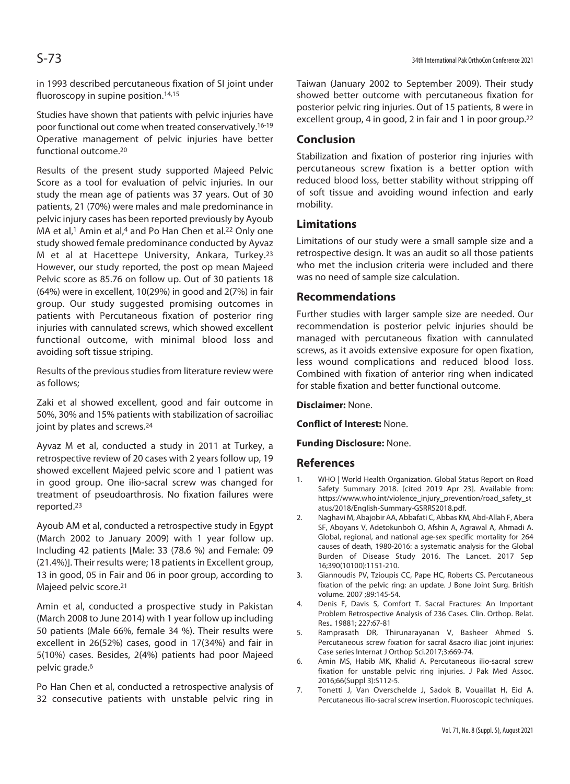in 1993 described percutaneous fixation of SI joint under fluoroscopy in supine position.<sup>14,15</sup>

Studies have shown that patients with pelvic injuries have poor functional out come when treated conservatively.16-19 Operative management of pelvic injuries have better functional outcome.20

Results of the present study supported Majeed Pelvic Score as a tool for evaluation of pelvic injuries. In our study the mean age of patients was 37 years. Out of 30 patients, 21 (70%) were males and male predominance in pelvic injury cases has been reported previously by Ayoub MA et al,<sup>1</sup> Amin et al,<sup>4</sup> and Po Han Chen et al.<sup>22</sup> Only one study showed female predominance conducted by Ayvaz M et al at Hacettepe University, Ankara, Turkey.23 However, our study reported, the post op mean Majeed Pelvic score as 85.76 on follow up. Out of 30 patients 18 (64%) were in excellent, 10(29%) in good and 2(7%) in fair group. Our study suggested promising outcomes in patients with Percutaneous fixation of posterior ring injuries with cannulated screws, which showed excellent functional outcome, with minimal blood loss and avoiding soft tissue striping.

Results of the previous studies from literature review were as follows;

Zaki et al showed excellent, good and fair outcome in 50%, 30% and 15% patients with stabilization of sacroiliac joint by plates and screws.<sup>24</sup>

Ayvaz M et al, conducted a study in 2011 at Turkey, a retrospective review of 20 cases with 2 years follow up, 19 showed excellent Majeed pelvic score and 1 patient was in good group. One ilio-sacral screw was changed for treatment of pseudoarthrosis. No fixation failures were reported.23

Ayoub AM et al, conducted a retrospective study in Egypt (March 2002 to January 2009) with 1 year follow up. Including 42 patients [Male: 33 (78.6 %) and Female: 09 (21.4%)]. Their results were; 18 patients in Excellent group, 13 in good, 05 in Fair and 06 in poor group, according to Majeed pelvic score.21

Amin et al, conducted a prospective study in Pakistan (March 2008 to June 2014) with 1 year follow up including 50 patients (Male 66%, female 34 %). Their results were excellent in 26(52%) cases, good in 17(34%) and fair in 5(10%) cases. Besides, 2(4%) patients had poor Majeed pelvic grade.6

Po Han Chen et al, conducted a retrospective analysis of 32 consecutive patients with unstable pelvic ring in Taiwan (January 2002 to September 2009). Their study showed better outcome with percutaneous fixation for posterior pelvic ring injuries. Out of 15 patients, 8 were in excellent group, 4 in good, 2 in fair and 1 in poor group.<sup>22</sup>

# **Conclusion**

Stabilization and fixation of posterior ring injuries with percutaneous screw fixation is a better option with reduced blood loss, better stability without stripping off of soft tissue and avoiding wound infection and early mobility.

### **Limitations**

Limitations of our study were a small sample size and a retrospective design. It was an audit so all those patients who met the inclusion criteria were included and there was no need of sample size calculation.

### **Recommendations**

Further studies with larger sample size are needed. Our recommendation is posterior pelvic injuries should be managed with percutaneous fixation with cannulated screws, as it avoids extensive exposure for open fixation, less wound complications and reduced blood loss. Combined with fixation of anterior ring when indicated for stable fixation and better functional outcome.

**Disclaimer:** None.

**Conflict of Interest:** None.

**Funding Disclosure:** None.

#### **References**

- 1. WHO | World Health Organization. Global Status Report on Road Safety Summary 2018. [cited 2019 Apr 23]. Available from: https://www.who.int/violence\_injury\_prevention/road\_safety\_st atus/2018/English-Summary-GSRRS2018.pdf.
- 2. Naghavi M, Abajobir AA, Abbafati C, Abbas KM, Abd-Allah F, Abera SF, Aboyans V, Adetokunboh O, Afshin A, Agrawal A, Ahmadi A. Global, regional, and national age-sex specific mortality for 264 causes of death, 1980-2016: a systematic analysis for the Global Burden of Disease Study 2016. The Lancet. 2017 Sep 16;390(10100):1151-210.
- 3. Giannoudis PV, Tzioupis CC, Pape HC, Roberts CS. Percutaneous fixation of the pelvic ring: an update. J Bone Joint Surg. British volume. 2007 ;89:145-54.
- 4. Denis F, Davis S, Comfort T. Sacral Fractures: An Important Problem Retrospective Analysis of 236 Cases. Clin. Orthop. Relat. Res.. 19881; 227:67-81
- 5. Ramprasath DR, Thirunarayanan V, Basheer Ahmed S. Percutaneous screw fixation for sacral &sacro iliac joint injuries: Case series Internat J Orthop Sci.2017;3:669-74.
- 6. Amin MS, Habib MK, Khalid A. Percutaneous ilio-sacral screw fixation for unstable pelvic ring injuries. J Pak Med Assoc. 2016;66(Suppl 3):S112-5.
- 7. Tonetti J, Van Overschelde J, Sadok B, Vouaillat H, Eid A. Percutaneous ilio-sacral screw insertion. Fluoroscopic techniques.